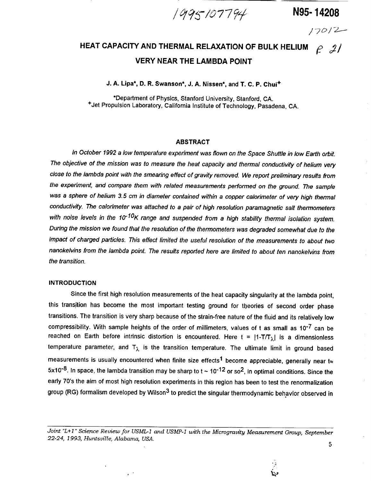**/** "77 **N95- 14208**

/7o/7------

## **HEAT CAPACITY AND THERMAL RELAXATION OF BULK HELIUM**  $\begin{bmatrix} \rho & \mathcal{J} \end{bmatrix}$ **VERY NEAR THE LAMBDA POINT**

**J. A. Lipa\*, D. R. Swanson\*, J. A. Nissen\*, and T. C. P. Chui +**

**\*Department of Physics, Stanford University, Stanford, CA. +Jet Propulsion Laboratory, California Institute of Technology, Pasadena, CA.**

#### **ABSTRACT**

In October 1992 a low temperature experiment was flown on the Space Shuttle in low Earth orbit. The objective of the mission was to measure the heat capacity and thermal conductivity of helium very close to the lambda point with the **smearing** effect of gravity removed. We report preliminary results from the experiment, and compare them with related measurements performed on the ground. The sample was a **sphere** of helium 3.5 cm in diameter contained within a copper calorimeter of very high thermal conductivity. The calorimeter was attached to a pair of high resolution paramagnetic **salt** thermometers with noise levels in the 10<sup>-10</sup>K range and suspended from a high stability thermal isolation system. During the mission we found that the resolution of the thermometers was degraded somewhat due to the impact of charged particles. This effect limited the useful resolution of the measurements to about two nanokelvins from the lambda point. The results reported here are limited to about ten nanokelvins from the transition.

#### **INTRODUCTION**

**Since the** first high resolution **measurements of the** heat **capacity** singularity **at** the **lambda** point, **this transition has** become **the most important testing ground** for **theories of second order phase** transitions. The transition is very sharp because of the strain-free nature of the fluid and its relatively low compressibility. With sample heights of the order of millimeters, values of t as small as 10<sup>-7</sup> can be **reached on Earth before intrinsic distortion is encountered. Here t =** I1-T/T\_,I **is a dimensionless**  $\tan$  **temperature** parameter, and  $\mathsf{T}_{\lambda}$  is the transition temperature. The ultimate limit in ground based **measurements is usually encountered when finite size effects 1 become appreciable, generally near t=** 5x10<sup>-8</sup>. In space, the lambda transition may be sharp to  $t \sim 10^{-12}$  or so<sup>2</sup>, in optimal conditions. Since the early 70's the aim of most high resolution experiments in this region has been to test the renormalization **group (RG)** formalism **developed by Wilson 3 to predict the singular thermodynamic behavior observed in**

*Joint "L+I" Science Review for USML-1 and USMP-1 with* the *Microgravity Measurement Group, September 22-24, 1993, Huntsville, Alabama, USA.*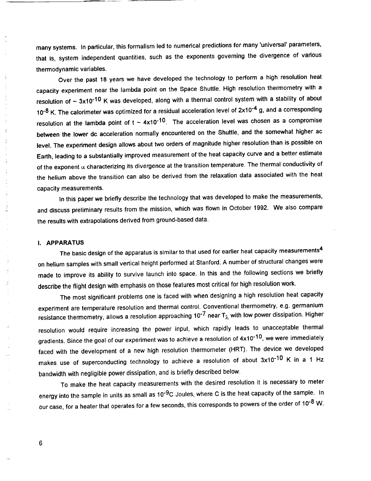many **systems. In particular, this** formalism led **to** numerical predictions for many **'universal' parameters,** that is, system independent quantities, such as the exponents governing the divergence of various thermodynamic variables.

Over the past 18 years we have developed the technology to perform a high resolution heat capacity experiment near the lambda point on the Space Shuttle. High resolution thermometry with a resolution of  $\sim 3x10^{-10}$  K was developed, along with a thermal control system with a stability of about 10<sup>-8</sup> K. The calorimeter was optimized for a residual acceleration level of 2x10<sup>-4</sup> g, and a corresponding resolution at the lambda point of  $t \sim 4 \times 10^{-10}$ . The acceleration level was chosen as a compromise between the lower dc **acceleration** normally encountered on the Shuttle, and the somewhat higher ac level. The experiment design allows about two orders of magnitude higher resolution than is possible on Earth, leading to a substantially improved measurement of the heat capacity curve and a better estimate of the exponent  $\alpha$  characterizing its divergence at the transition temperature. The thermal conductivity of the helium above the transition can also be derived from the relaxation data associated with the heat capacity measurements.

In this paper we briefly describe the technology that was developed to make the measurements, and discuss preliminary results from the mission, which was flown in October 1992. We also compare the results with extrapolations derived from ground-based data.

#### I. **APPARATUS**

J

E.

The basic design of the apparatus is similar to that used for earlier heat capacity measurements<sup>4</sup> on helium samples with small vertical height performed at Stanford. A number of structural changes were made to improve its ability to survive launch into space. In this and the following sections we briefly describe the flight design with emphasis on those features most critical for high resolution work.

The most significant problems one is faced with when designing a high resolution heat capacity experiment are temperature resolution and thermal control. Conventional thermometry, e.g. germanium resistance thermometry, allows a resolution approaching 10<sup>-7</sup> near  $T_{\lambda}$  with low power dissipation. Higher resolution would require increasing the power **input,** which rapidly leads to unacceptable thermal gradients. Since the goal of our experiment was to achieve a resolution of  $4 \times 10^{-10}$ , we were immediately faced with the development of a new high resolution thermometer (HRT). The device we developed makes use of superconducting technology to achieve a resolution of about  $3x10^{-10}$  K in a 1 Hz bandwidth with negligible power dissipation, and is briefly described below.

To make the heat capacity measurements with the desired resolution it is necessary to meter energy into the sample in units as small as 10<sup>-9</sup>C Joules, where C is the heat capacity of the sample. In our case, for a heater that operates for a few seconds, this corresponds to powers of the order of 10<sup>-8</sup> W.

 $6\phantom{1}$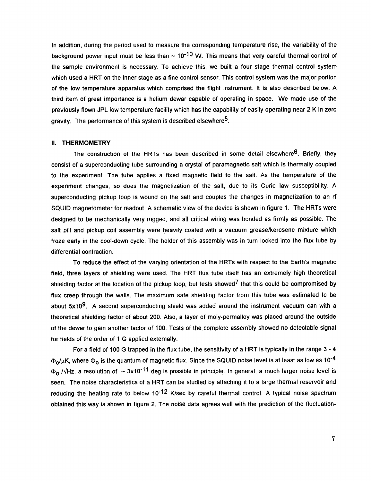**in** addition, **during** the period **used** to measure the corresponding temperature rise, the variability of the background power input must be less than  $\sim 10^{-10}$  W. This means that very careful thermal control of the sample environment is necessary. To achieve this, we built a four stage thermal control system which used a HRT on the inner stage as a fine control sensor. This control system was the major portion of the low temperature apparatus which comprised the flight instrument. It is also described below. A third item of great importance is a helium dewar capable of operating in space. We made use of the previously flown JPL low temperature facility which has the capability of easily operating near 2 K in zero gravity. The performance of this system is described elsewhere<sup>5</sup>.

#### **II. THERMOMETRY**

The **construction of the** HRTs **has been described in some detail** elsewhere **6. Briefly, they consist of a superconducting tube surrounding a crystal of paramagnetic salt which is thermally coupled to the experiment. The tube applies a fixed magnetic field to the salt.** As **the temperature of the experiment changes, so does the magnetization of the salt,** due **to its Curie law susceptibility.** A **superconducting pickup loop is wound on the salt and couples the changes in magnetization to an rf SQUID magnetometer** for **readout. A schematic view of the device is shown in figure 1. The HRTs were designed to be mechanically very** rugged, **and all critical wiring was bonded as firmly as possible. The salt pill and pickup coil assembly were heavily coated with a vacuum grease/kerosene mixture which** froze early in the cool-down cycle. The holder of this assembly was in turn locked into the flux tube by **differential contraction.**

**To reduce the effect of the varying orientation of the HRTs with respect to the Earth's magnetic field, three layers of shielding were used. The HRT flux tube itself has an extremely high theoretical shielding** factor **at the location of the pickup loop,** but **tests showed7 that this could be compromised by flux creep through the walls. The maximum safe shielding** factor from **this tube was estimated to be about 5x109.** A **second superconducting** shield **was added around the instrument vacuum can with a theoretical shielding** factor **of about 200.** Also, **a layer of moly-permalloy was placed around the outside of the dewar to gain another** factor **of 100. Tests of the complete assembly showed no detectable signal** for **fields of the order of 1** G **applied externally.**

For a field of 100 G trapped in the flux tube, the sensitivity of a HRT is typically in the range 3 - 4  $\Phi_0/\mu$ K, where  $\Phi_0$  is the quantum of magnetic flux. Since the SQUID noise level is at least as low as 10<sup>-4</sup>  $\Phi_0$  / $\sqrt{Hz}$ , a resolution of  $\sim 3x10^{-11}$  deg is possible in principle. In general, a much larger noise level is seen. The noise characteristics of a HRT can be studied by attaching it to a large thermal reservoir and **reducing the heating rate to below 10-12 K/sec by careful thermal control. A typical noise spectrum** obtained this way is shown in figure 2. The noise data agrees well with the prediction of the fluctuation-

 $\overline{7}$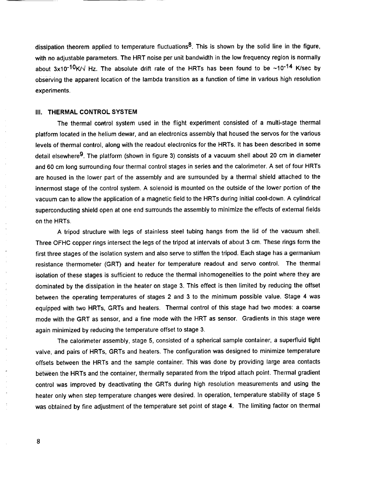dissipation theorem applied to temperature fluctuations<sup>8</sup>. This is shown by the solid line in the figure, with no adjustable parameters. The HRT noise per unit bandwidth in the low frequency region is normally about 3x10<sup>-10</sup>K/ $\sqrt{ }$  Hz. The absolute drift rate of the HRTs has been found to be ~10<sup>-14</sup> K/sec by observing the apparent location of the lambda transition as a function of time in various high resolution experiments.

#### **III. THERMAL CONTROL SYSTEM**

The thermal control system used in the flight experiment consisted of a multi-stage thermal **platform located in the helium dewar, and an electronics assembly that housed the servos** for **the various** levels of thermal control, along with the readout electronics for the HRTs. It has been described in some detail elsewhere<sup>9</sup>. The platform (shown in figure 3) consists of a vacuum shell about 20 cm in diameter **and 60 cm long surrounding** four **thermal control** stages in series **and the calorimeter.** A **set of four HRTs** are housed in the lower part of the assembly and are surrounded by a thermal shield attached to the innermost stage of the control system. A solenoid is mounted on the outside of the lower portion of the **vacuum can to allow the application of a magnetic** field **to the HRTs during initial cool-down.** A **cylindrical superconducting shield open at one end surrounds the assembly to minimize the effects of external fields on the HRTs.**

**A tripod structure with legs of stainless steel tubing hangs** from **the lid of the vacuum shell. Three** OFHC **copper rings intersect the legs of the tripod at intervals of about 3 cm. These** rings form **the** first three stages of the isolation system and also serve to stiffen the tripod. Each stage has a germanium **resistance thermometer (GRT) and heater** for **temperature readout and servo control. The thermal isolation of these stages is sufficient to** reduce **the thermal inhomogeneities to the point where they are** dominated by the dissipation in the heater on stage 3. This effect is then limited by reducing the offset **between the operating temperatures of stages 2 and 3 to the minimum possible value. Stage 4 was equipped with two HRTs,** GRTs **and heaters. Thermal control of this stage had two modes: a coarse mode with the GRT as sensor, and a** fine **mode with the HRT as sensor. Gradients in this** stage **were again minimized by reducing the temperature offset to stage 3.**

**The calorimeter assembly,** stage **5, consisted of a spherical** sample **container, a superfluid tight valve, and pairs of HRTs,** GRTs **and heaters. The configuration was designed to minimize temperature offsets between the HRTs and the sample container. This was done** by **providing large area contacts between the HRTs and the container, thermally separated** from **the tripod attach point. Thermal gradient control was improved by deactivating the** GRTs **during high resolution measurements and using the heater only when step temperature changes were desired. In operation, temperature stability of stage 5 was obtained** by **fine adjustment of the temperature** set **point of stage 4. The limiting** factor **on thermal**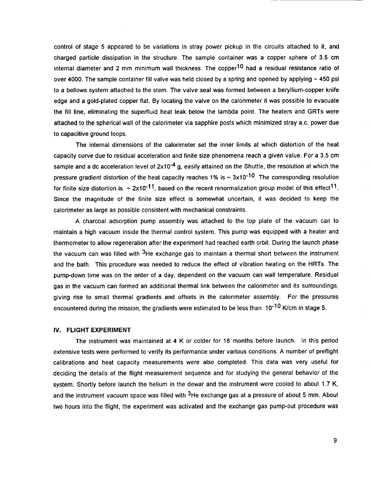control of stage 5 appeared to be variations in stray power pickup in the circuits attached to it, and charged particle dissipation in the structure. The sample container was a copper sphere of 3.5 cm internal diameter and 2 mm minimum wall thickness. The copper<sup>10</sup> had a residual resistance ratio of over 4000. The sample container fill valve was held closed by a spring and opened by applying  $\sim$  450 psi to a bellows system attached to the stem. The valve seal was formed between a beryllium-copper knife edge and a gold-plated copper flat. By locating the valve on the calorimeter it was possible to evacuate the fill line, eliminating the superfluid heat leak below the lambda point. The heaters and GRTs were attached to the spherical wall of the calorimeter via sapphire posts which minimized stray a.c. power due to capacitive ground loops.

The internal dimensions of the calorimeter set the inner limits at which distortion of the heat capacity curve due to residual acceleration and finite size phenomena reach a given value. For a 3.5 cm sample and a dc acceleration level of  $2x10^{-4}$  g, easily attained on the Shuttle, the resolution at which the pressure gradient distortion of the heat capacity reaches 1% is  $\sim 3 \times 10^{-10}$ . The corresponding resolution for finite size distortion is  $\sim 2x10^{-11}$ , based on the recent renormalization group model of this effect<sup>11</sup>. Since the magnitude of the finite size effect is somewhat uncertain, it was decided to keep the calorimeter as large as possible consistent with mechanical constraints.

A charcoal adsorption pump assembly was attached to the top plate of the vacuum can to maintain a high vacuum inside the thermal control system. This pump was equipped with a heater and thermometer to allow regeneration after the experiment had reached earth orbit. During the launch phase the vacuum can was filled with  $3$ He exchange gas to maintain a thermal short between the instrument and the bath. This procedure was needed to reduce the effect of vibration heating on the HRTs. The pump-down time was on the order of a day, dependent on the vacuum can wall temperature. **Residual** gas in the vacuum can formed an additional thermal link between the calorimeter and its surroundings, giving rise to small thermal gradients and offsets in the calorimeter assembly. For the pressures encountered during the mission, the gradients were estimated to be less than  $10^{-10}$  K/cm in stage 5.

#### IV. FLIGHT **EXPERIMENT**

The instrument was maintained at 4 K or colder for 18 months before launch. In this period extensive tests were performed to verify its performance under various conditions. A number of preflight calibrations and heat capacity measurements were alsocompleted. This data was very useful for deciding the details of the flight measurement sequence and for studying the general behavior of the system. Shortly before launch the helium in the dewar and the instrument were cooled to about 1.7 K, and the instrument vacuum space was filled with <sup>3</sup>He exchange gas at a pressure of about 5 mm. About two hours into the flight, the experiment was activated and the exchange gas pump-out procedure was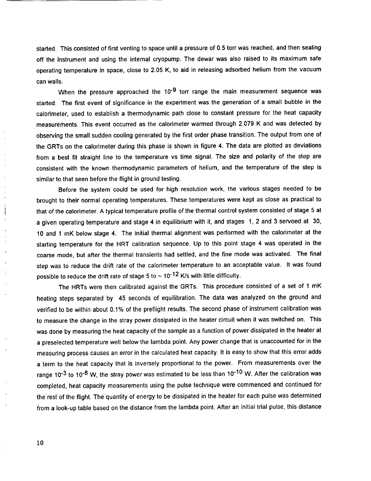started. This consisted of first venting to space until a pressure of 0.5 torr was reached, and then sealing off the instrument and using the internal cryopump. The dewar was also raised to its maximum safe operating temperature in space, close to 2.05 K, to aid in releasing adsorbed helium from the vacuum can walls.

When the pressure approached the 10<sup>-9</sup> torr range the main measurement sequence was started. The first event of significance in the experiment was the generation of a small bubble in the calorimeter, used to establish a thermodynamic path close to constant pressure for the heat capacity measurements. This event occurred as the calorimeter warmed through 2.079 K and was detected by observing the small sudden cooling generated by the first order phase transition. The output from one of the GRTs on the calorimeter during this phase is shown in figure 4. The data are plotted as deviations from a best fit straight line to the temperature vs time signal. The size and polarity of the step are consistent with the known thermodynamic parameters of helium, and the temperature of the step is similar to that seen before the flight in ground testing.

Before the system could be used for high resolution work, the various stages needed to be brought to their normal operating temperatures. These temperatures were kept as close as practical to that of the calorimeter. A typical temperature profile of the thermal control system consisted of stage 5 at a given operating temperature and stage 4 in equilibrium with it, and stages 1, 2 and 3 servoed at 30. 10 and 1 mK below stage 4. The initial thermal alignment was performed with the calorimeter at the starting temperature for the HRT calibration sequence. Up to this point stage 4 was operated in the coarse mode, but after the thermal transients had settled, and the fine mode was activated. The final step was to reduce the drift rate of the calorimeter temperature to an acceptable value. It was found possible to reduce the drift rate of stage 5 to  $\sim$  10<sup>-12</sup> K/s with little difficulty.

The HRTs were then calibrated against the GRTs. This procedure consisted of a set of 1 mK heating steps separated by 45 seconds of equilibration. The data was analyzed on the ground and verified to be within about 0.1% of the preflight results. The second phase of instrument calibration was to measure the change in the stray power dissipated in the heater circuit when it was switched on. This was done by measuring the heat capacity of the sample as a function of power dissipated in the heater at a preselected temperature well below the lambda point. Any power change that is unaccounted for in the measuring process causes an error in the calculated heat capacity. It is easy to show that this error adds a term to the heat capacity that is inversely proportional to the power. From measurements over the range 10<sup>-3</sup> to 10<sup>-8</sup> W, the stray power was estimated to be less than 10<sup>-10</sup> W. After the calibration was completed, heat capacity measurements using the pulse technique were commenced and continued for the rest of the flight. The quantity of energy to be dissipated in the heater for each pulse was determined from a look-up table based on the distance from the lambda point. After an initial trial pulse, this distance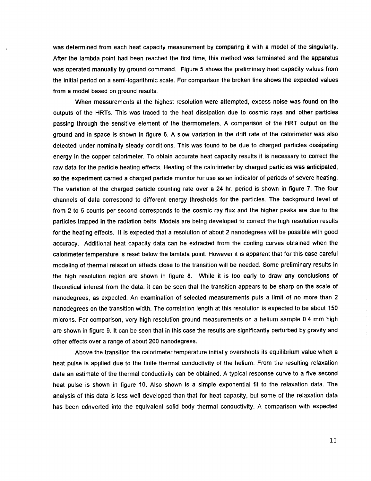**was determined** from each heat capacity measurement by comparing **it** with **a model of the singularity.** After the lambda point had been reached the first time, **this** method was terminated and the **apparatus** was operated manually by ground command. Figure 5 shows the preliminary heat capacity values from the initial period on a semi-logarithmic scale. For comparison the broken line shows the expected values from a model based on ground results.

When measurements at the highest resolution were attempted, excess noise was found on the outputs of the HRTs. This was **traced** to the heat dissipation due to cosmic rays **and** other particles passing through the sensitive element of the thermometers. A comparison of the HRT output on the ground and in space is shown in figure 6. A slow variation in the drift rate of the calorimeter was also detected under nominally steady conditions. This was found to be due to charged particles dissipating energy in the copper calorimeter. To obtain accurate heat capacity results it is necessary to correct the raw data for the particle heating effects. Heating of the calorimeter by charged particles was anticipated, so the experiment carried a charged particle monitor for use as an indicator of periods of severe heating. The variation of the charged particle counting rate over a 24 hr. period is shown in figure 7. The four channels of data correspond to different energy thresholds for the particles. The background level of from 2 to 5 counts per second corresponds to the cosmic ray flux and the higher peaks are due to the particles trapped in the radiation belts. Models are being developed to correct the high resolution results for the heating effects. It is expected that a resolution of about 2 nanodegrees will be possible with good accuracy. Additional heat capacity data can be extracted from the cooling curves obtained when the calorimeter temperature is reset below the lambda point. However it is apparent that for this case careful modeling of thermal relaxation effects close to the transition will be needed. Some preliminary results in the high resolution region are shown in figure 8. While it is too early to draw any conclusions of theoretical interest from the data, it can be seen that the transition appears to be sharp on the scale of nanodegrees, as expected. An examination of selected measurements puts a limit of no more than 2 nanodegrees on the transition width. The correlation length at this resolution is expected to be about 150 microns. For comparison, very high resolution ground measurements on a helium sample 0.4 mm high are shown in figure 9. It can be seen that in this case the results are significantly perturbed by gravity and other effects over a range of about 200 nanodegrees.

Above the transition the calorimeter temperature initially overshoots its equilibrium value when a heat pulse is applied due to the finite thermal conductivity of the helium. From the resulting relaxation data an estimate of the thermal conductivity can be obtained. A typical response curve to a five second heat pulse is shown in figure 10. Also shown is a simple exponential fit **to** the relaxation data. The analysis of this data is less well developed than that for heat capacity, but some of the relaxation data has been cdnverted into the equivalent solid body thermal conductivity. A comparison with expected

11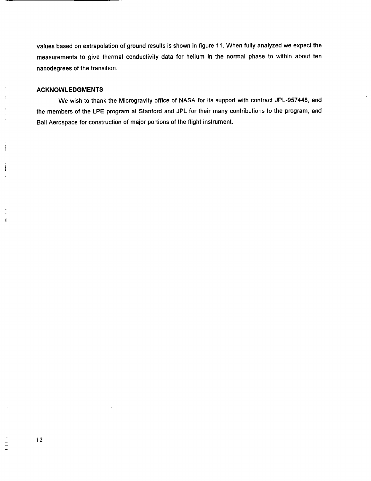**values** based **on** extrapolation **of** ground results **is** shown **in** figure **11. When** fully **analyzed we expect the** measurements to give thermal conductivity data for helium in the normal phase to within about ten nanodegrees of the transition.

#### **ACKNOWLEDGMENTS**

 $\frac{1}{2}$  $\bar{z}$ 

ŧ

ł

 $\frac{1}{2}$ 

We **wish to** thank the **Microgravity office of NASA** for **its** support with contract **JPL-957448, and the members of the LPE program at Stanford and JPL** for **their many contributions to the program, and Ball** Aerospace for **construction of major portions of the flight instrument,**

 $\equiv$  $\frac{1}{2}$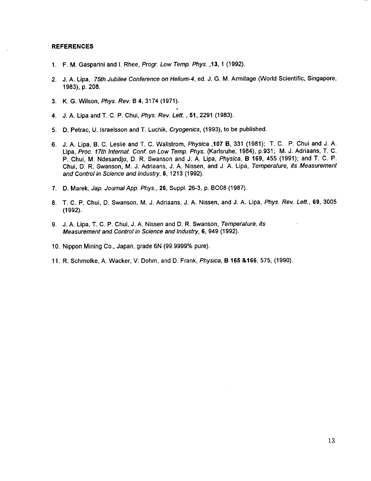#### **REFERENCES**

- 1. F.M. Gasparini **and I. Rhee,** Progr. Low Temp. Phys. ,13, **1** (1992).
- 2. J.A. Lipa, 75th Jubilee Conference on Helium-4, ed. J. G. M. Armitage (World Scientific, Singapore, 1983), p. 208.
- 3. K.G. Wilson, Phys. Rev. B 4, 3174 (1971).
- 4. J.A. Lipa and T. C. P. Chui, Phys. Rev. Lett., **51,** 2291 (1983).
- 5. **D.** Petrac, U. Israelsson and T. Luchik, Cryogenics, (1993), to be published.
- 6. J.A. Lipa, B. C. Leslie **and** T. C. Wallstrom, Physica ,107 **B,** 331 (1981); T.C.P. Chui and J. A. Lipa, Proc. **17th** Intemat. Conf. on Low Temp. Phys. (Karlsruhe, 1984), p.931; M. J. Adriaans, T. C. P. Chui, M. Ndesandjo, D. R. Swanson and J. A. Lipa, Physica, **B 169,** 455 (1991); and T. **C.** P. Chui, D. R. Swanson, M. J. Adriaans, J. A. Nissen, and J. A. Lipa, Temperature, its Measurement and Control in Science and Industry, 6, 1213 (1992).
- 7. D. Marek, Jap. Journal App. Phys., 26, Suppl. 26-3, p. BO08 (1987).
- 8. T.C.P. Chui, D. Swanson, M. J. Adriaans, J. A. Nissen, and J. A. Lipa, Phys. Rev. Lett., **69,** 3005 (1992).
- 9. J.A. Lipa, T. C. P. Chui, J. A. Nissen and D. R. Swanson, Temperature, its Measurement and Control in Science and Industry, 6, 949 (1992).
- 10. Nippon Mining Co., Japan, grade 6N (99.9999% pure).
- 11. R. Schrnolke, A. Wacker, V. Dohm, and D. Frank, Physica, **B 165** &166,575, (1990).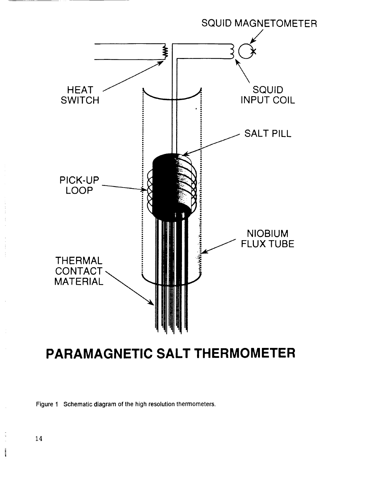

# **PARAMAGNETIC SALT THERMOMETER**

Figure 1 Schematic diagram of the high resolution thermometers.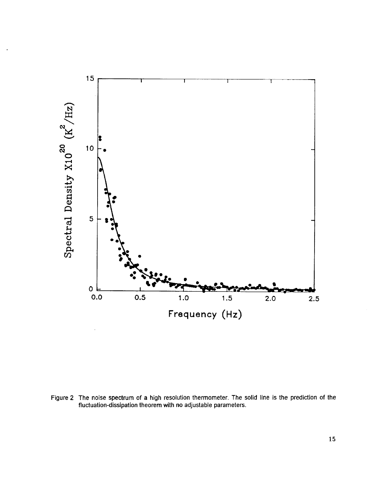

Figure 2 The noise spectrum of a high resolution thermometer. The solid line is the prediction of the fluctuation-dissipation theorem with no adjustable parameters.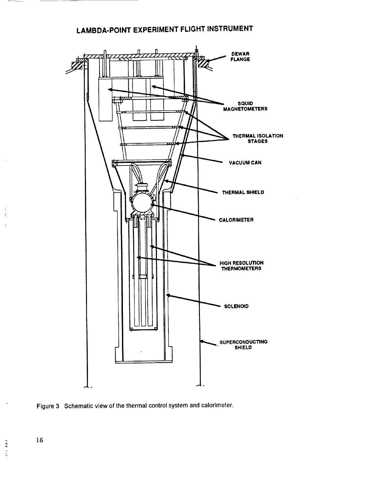## **LAMBDA-POINT EXPERIMENT FLIGHT INSTRUMENT**



Figure 3 Schematic **view** of **the thermal** control system and calorimeter.

 $\frac{1}{2}$  16

þ,

 $\frac{1}{2}$ 

 $\overline{\phantom{a}}$  $\mathbb{I}$ Ì.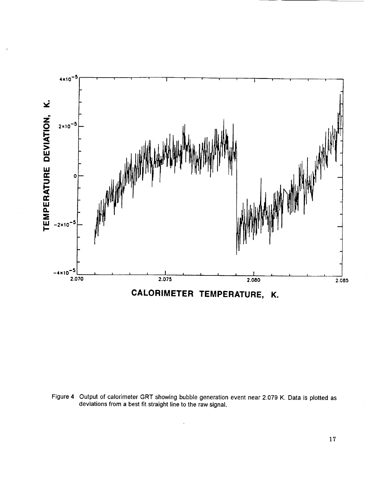

Figure 4 Output of calorimeter GRT showing bubble generation event near 2.079 K. Data is plotted as deviations from a best fit straight line to the raw signal.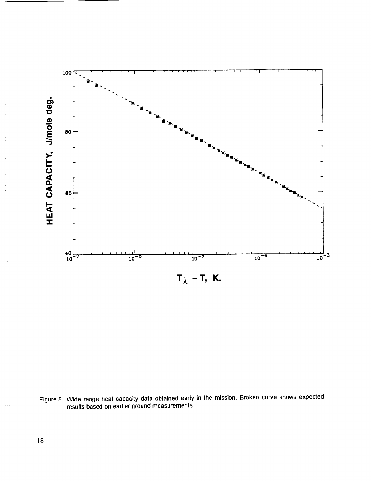

Figure 5 Wide range heat capacity data obtained early in the mission. Broken curve shows expected results based on earlier ground measurements.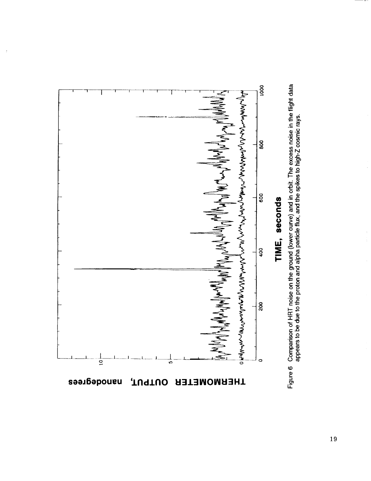

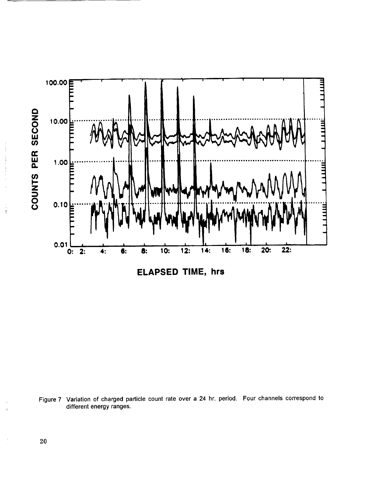

Figure 7 Variation of charged particle count rate over a 24 hr. period. Four channels correspond to different energy ranges.

ţ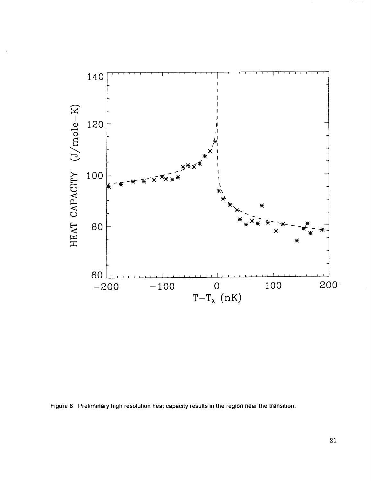

Figure 8 Preliminary high resolution heat capacity results in the region near the transition.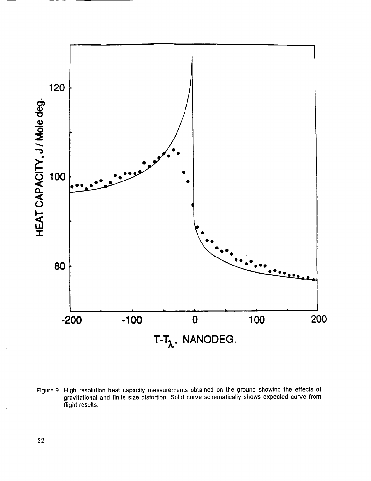

Figure 9 High resolution heat capacity measurements obtained on the ground showing the effects of gravitational and finite size distortion. Solid curve schematically shows expected curve from flight results.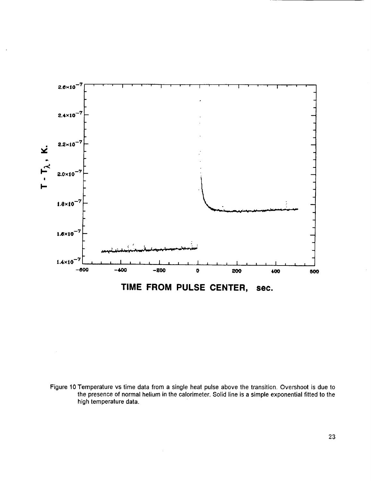

Figure **10 Temperature** vs **time** data from a single heat pulse above the **transition.** Overshoot is due **to** the presence of normal helium in the calorimeter. Solid line is a simple exponential fitted to the high temperature data.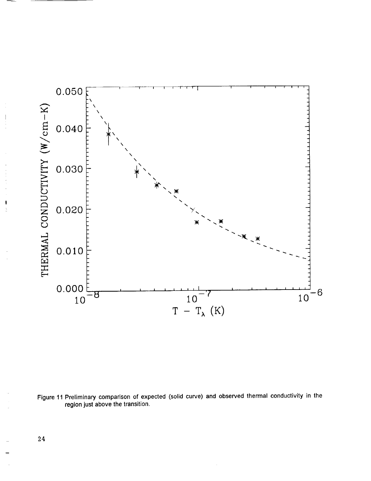

Figure **11** Preliminary comparison of expected (solid curve) **and observed** thermal conductivity in the region just above the transition.

24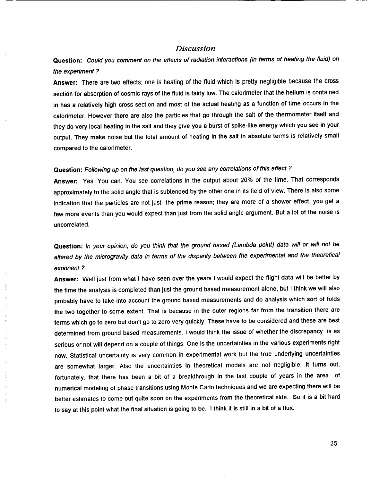#### *Discussion*

**Question: Could you comment on the effects of radiation interactions (in terms of heating the fluid) on the expenment?**

Answer: There are two effects; one is heating of the fluid which is pretty negligible because the cross section for absorption of cosmic rays of the fluid is fairly low. The calorimeter that the helium is contained in has a relatively high cross section and most of the actual heating as a function of time occurs in the **calorimeter. However there are also the particles that go through the salt of the thermometer itself and** they do very local heating in the salt and they give you a burst of spike-like energy which you see in your output. They make noise but the total amount of heating in the salt in absolute terms is relatively small **compared to the calodmeter.**

### **Question:** Following up on the last question, do you **see** any correlations **of** this **effect** ?

**Answer:** Yes. You can. You see correlations in the output about 20% of the time. That corresponds approximately to the solid angle that is subtended by the other one in its field of view. There is also some indication that the particles are not just the prime reason; they are more of a shower effect, you get a few more events than you would expect than just from the solid angle argument. But a lot of the noise is uncorrelated.

**Question:** In your opinion, do you think that the ground based (Lambda point) data will or will not be **altered** by the microgravity data in terms of the disparity between the experimental and the theoretical exponent ?

**Answer:** Well just from what I have seen over the years I would expect the flight data **will** be better by the time the analysis is completed than just the ground based measurement alone, but I think we will also probably have to take into account the ground based measurements and do analysis which sort of folds the two together to some extent. That is because in the outer regions far from the transition there are terms which go to zero but don't go to zero very quickly. These have to be considered and these are best determined from ground based measurements. I would think the issue of whether the discrepancy is **as** serious or not will depend on a couple of things. One is the uncertainties in the various experiments right now. Statistical uncertainty is very common in experimental work but the true underlying uncertainties are somewhat larger. Also the uncertainties in theoretical models are not negligible. It turns out, fortunately, that there has been a bit of a breakthrough in the last couple of years in the area of numerical modeling of phase transitions using Monte Carlo techniques and we are expecting there will be better estimates to come out quite soon on the experiments from the theoretical side. So it is **a** bit hard to say **at** this point what the final situation is going to be. I think it is still in a bit of a flux.